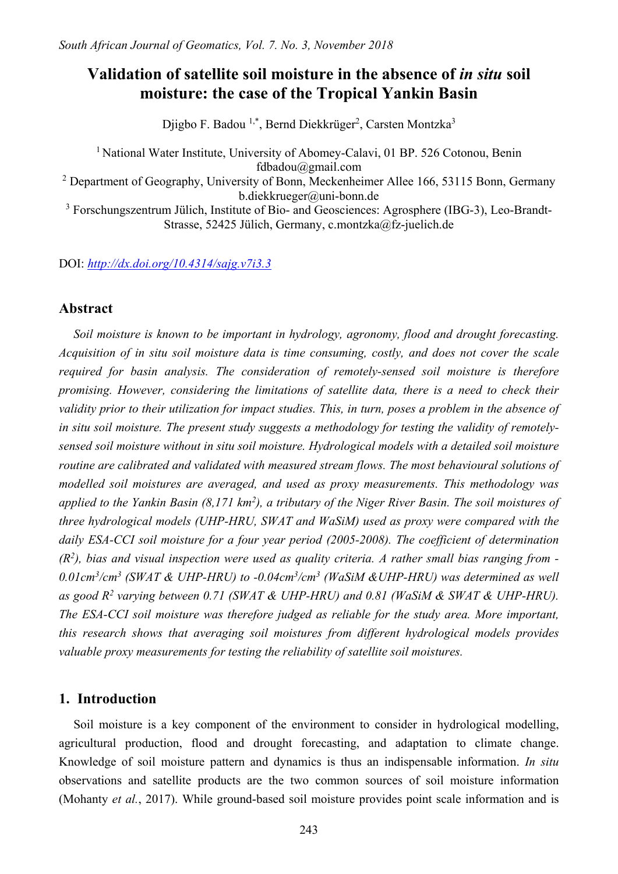# **Validation of satellite soil moisture in the absence of** *in situ* **soil moisture: the case of the Tropical Yankin Basin**

Djigbo F. Badou <sup>1,\*</sup>, Bernd Diekkrüger<sup>2</sup>, Carsten Montzka<sup>3</sup>

<sup>1</sup> National Water Institute, University of Abomey-Calavi, 01 BP. 526 Cotonou, Benin fdbadou@gmail.com <sup>2</sup> Department of Geography, University of Bonn, Meckenheimer Allee 166, 53115 Bonn, Germany b.diekkrueger@uni-bonn.de

<sup>3</sup> Forschungszentrum Jülich, Institute of Bio- and Geosciences: Agrosphere (IBG-3), Leo-Brandt-Strasse, 52425 Jülich, Germany, c.montzka@fz-juelich.de

DOI: *<http://dx.doi.org/10.4314/sajg.v7i3.3>*

# **Abstract**

*Soil moisture is known to be important in hydrology, agronomy, flood and drought forecasting. Acquisition of in situ soil moisture data is time consuming, costly, and does not cover the scale required for basin analysis. The consideration of remotely-sensed soil moisture is therefore promising. However, considering the limitations of satellite data, there is a need to check their validity prior to their utilization for impact studies. This, in turn, poses a problem in the absence of in situ soil moisture. The present study suggests a methodology for testing the validity of remotelysensed soil moisture without in situ soil moisture. Hydrological models with a detailed soil moisture routine are calibrated and validated with measured stream flows. The most behavioural solutions of modelled soil moistures are averaged, and used as proxy measurements. This methodology was applied to the Yankin Basin (8,171 km2), a tributary of the Niger River Basin. The soil moistures of three hydrological models (UHP-HRU, SWAT and WaSiM) used as proxy were compared with the daily ESA-CCI soil moisture for a four year period (2005-2008). The coefficient of determination (R2), bias and visual inspection were used as quality criteria. A rather small bias ranging from - 0.01cm3/cm3 (SWAT & UHP-HRU) to -0.04cm3/cm3 (WaSiM &UHP-HRU) was determined as well as good R2 varying between 0.71 (SWAT & UHP-HRU) and 0.81 (WaSiM & SWAT & UHP-HRU). The ESA-CCI soil moisture was therefore judged as reliable for the study area. More important, this research shows that averaging soil moistures from different hydrological models provides valuable proxy measurements for testing the reliability of satellite soil moistures.*

# **1. Introduction**

Soil moisture is a key component of the environment to consider in hydrological modelling, agricultural production, flood and drought forecasting, and adaptation to climate change. Knowledge of soil moisture pattern and dynamics is thus an indispensable information. *In situ* observations and satellite products are the two common sources of soil moisture information (Mohanty *et al.*, 2017). While ground-based soil moisture provides point scale information and is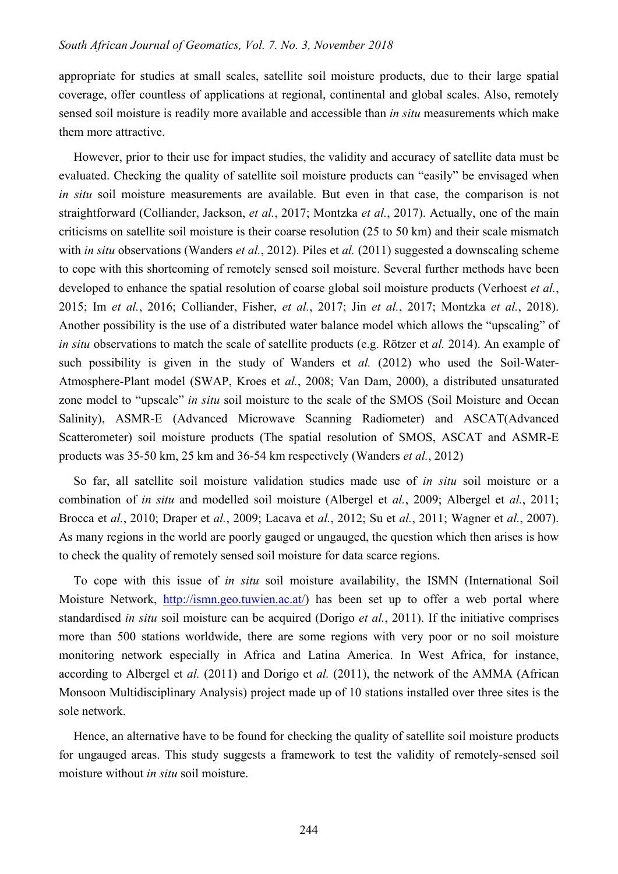appropriate for studies at small scales, satellite soil moisture products, due to their large spatial coverage, offer countless of applications at regional, continental and global scales. Also, remotely sensed soil moisture is readily more available and accessible than *in situ* measurements which make them more attractive.

However, prior to their use for impact studies, the validity and accuracy of satellite data must be evaluated. Checking the quality of satellite soil moisture products can "easily" be envisaged when *in situ* soil moisture measurements are available. But even in that case, the comparison is not straightforward (Colliander, Jackson, *et al.*, 2017; Montzka *et al.*, 2017). Actually, one of the main criticisms on satellite soil moisture is their coarse resolution (25 to 50 km) and their scale mismatch with *in situ* observations (Wanders *et al.*, 2012). Piles et *al.* (2011) suggested a downscaling scheme to cope with this shortcoming of remotely sensed soil moisture. Several further methods have been developed to enhance the spatial resolution of coarse global soil moisture products (Verhoest *et al.*, 2015; Im *et al.*, 2016; Colliander, Fisher, *et al.*, 2017; Jin *et al.*, 2017; Montzka *et al.*, 2018). Another possibility is the use of a distributed water balance model which allows the "upscaling" of *in situ* observations to match the scale of satellite products (e.g. Rötzer et *al.* 2014). An example of such possibility is given in the study of Wanders et *al.* (2012) who used the Soil-Water-Atmosphere-Plant model (SWAP, Kroes et *al.*, 2008; Van Dam, 2000), a distributed unsaturated zone model to "upscale" *in situ* soil moisture to the scale of the SMOS (Soil Moisture and Ocean Salinity), ASMR-E (Advanced Microwave Scanning Radiometer) and ASCAT(Advanced Scatterometer) soil moisture products (The spatial resolution of SMOS, ASCAT and ASMR-E products was 35-50 km, 25 km and 36-54 km respectively (Wanders *et al.*, 2012)

So far, all satellite soil moisture validation studies made use of *in situ* soil moisture or a combination of *in situ* and modelled soil moisture (Albergel et *al.*, 2009; Albergel et *al.*, 2011; Brocca et *al.*, 2010; Draper et *al.*, 2009; Lacava et *al.*, 2012; Su et *al.*, 2011; Wagner et *al.*, 2007). As many regions in the world are poorly gauged or ungauged, the question which then arises is how to check the quality of remotely sensed soil moisture for data scarce regions.

To cope with this issue of *in situ* soil moisture availability, the ISMN (International Soil Moisture Network, [http://ismn.geo.tuwien.ac.at/\)](http://ismn.geo.tuwien.ac.at/) has been set up to offer a web portal where standardised *in situ* soil moisture can be acquired (Dorigo *et al.*, 2011). If the initiative comprises more than 500 stations worldwide, there are some regions with very poor or no soil moisture monitoring network especially in Africa and Latina America. In West Africa, for instance, according to Albergel et *al.* (2011) and Dorigo et *al.* (2011), the network of the AMMA (African Monsoon Multidisciplinary Analysis) project made up of 10 stations installed over three sites is the sole network.

Hence, an alternative have to be found for checking the quality of satellite soil moisture products for ungauged areas. This study suggests a framework to test the validity of remotely-sensed soil moisture without *in situ* soil moisture.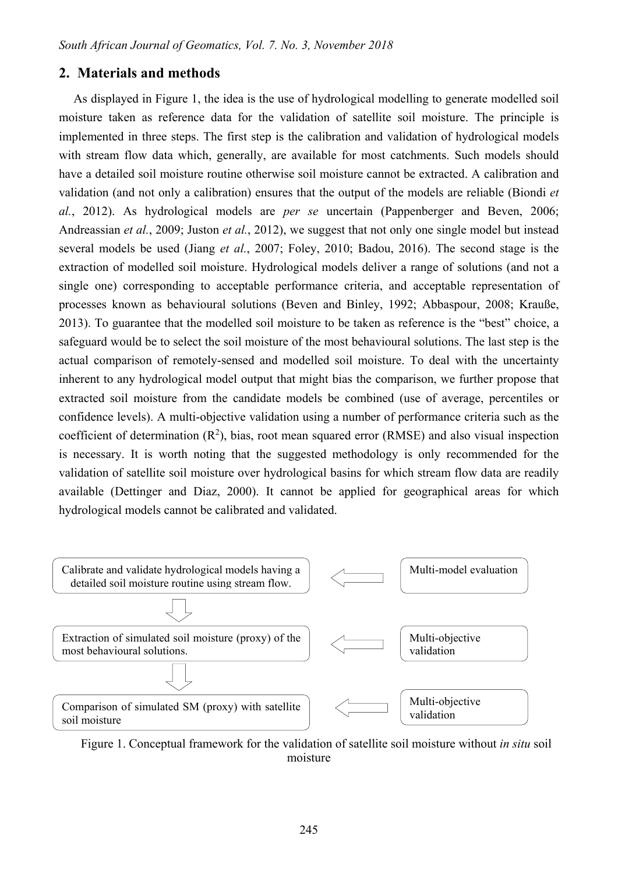# **2. Materials and methods**

As displayed in Figure 1, the idea is the use of hydrological modelling to generate modelled soil moisture taken as reference data for the validation of satellite soil moisture. The principle is implemented in three steps. The first step is the calibration and validation of hydrological models with stream flow data which, generally, are available for most catchments. Such models should have a detailed soil moisture routine otherwise soil moisture cannot be extracted. A calibration and validation (and not only a calibration) ensures that the output of the models are reliable (Biondi *et al.*, 2012). As hydrological models are *per se* uncertain (Pappenberger and Beven, 2006; Andreassian *et al.*, 2009; Juston *et al.*, 2012), we suggest that not only one single model but instead several models be used (Jiang *et al.*, 2007; Foley, 2010; Badou, 2016). The second stage is the extraction of modelled soil moisture. Hydrological models deliver a range of solutions (and not a single one) corresponding to acceptable performance criteria, and acceptable representation of processes known as behavioural solutions (Beven and Binley, 1992; Abbaspour, 2008; Krauße, 2013). To guarantee that the modelled soil moisture to be taken as reference is the "best" choice, a safeguard would be to select the soil moisture of the most behavioural solutions. The last step is the actual comparison of remotely-sensed and modelled soil moisture. To deal with the uncertainty inherent to any hydrological model output that might bias the comparison, we further propose that extracted soil moisture from the candidate models be combined (use of average, percentiles or confidence levels). A multi-objective validation using a number of performance criteria such as the coefficient of determination  $(R^2)$ , bias, root mean squared error (RMSE) and also visual inspection is necessary. It is worth noting that the suggested methodology is only recommended for the validation of satellite soil moisture over hydrological basins for which stream flow data are readily available (Dettinger and Diaz, 2000). It cannot be applied for geographical areas for which hydrological models cannot be calibrated and validated.



Figure 1. Conceptual framework for the validation of satellite soil moisture without *in situ* soil moisture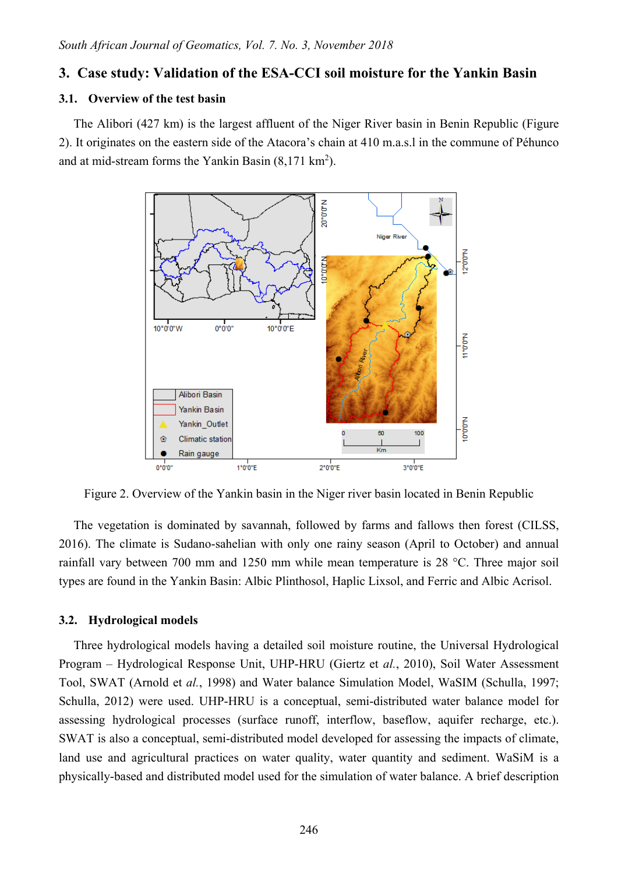# **3. Case study: Validation of the ESA-CCI soil moisture for the Yankin Basin**

### **3.1. Overview of the test basin**

The Alibori (427 km) is the largest affluent of the Niger River basin in Benin Republic (Figure 2). It originates on the eastern side of the Atacora's chain at 410 m.a.s.l in the commune of Péhunco and at mid-stream forms the Yankin Basin  $(8,171 \text{ km}^2)$ .



Figure 2. Overview of the Yankin basin in the Niger river basin located in Benin Republic

The vegetation is dominated by savannah, followed by farms and fallows then forest (CILSS, 2016). The climate is Sudano-sahelian with only one rainy season (April to October) and annual rainfall vary between 700 mm and 1250 mm while mean temperature is 28 °C. Three major soil types are found in the Yankin Basin: Albic Plinthosol, Haplic Lixsol, and Ferric and Albic Acrisol.

### **3.2. Hydrological models**

Three hydrological models having a detailed soil moisture routine, the Universal Hydrological Program – Hydrological Response Unit, UHP-HRU (Giertz et *al.*, 2010), Soil Water Assessment Tool, SWAT (Arnold et *al.*, 1998) and Water balance Simulation Model, WaSIM (Schulla, 1997; Schulla, 2012) were used. UHP-HRU is a conceptual, semi-distributed water balance model for assessing hydrological processes (surface runoff, interflow, baseflow, aquifer recharge, etc.). SWAT is also a conceptual, semi-distributed model developed for assessing the impacts of climate, land use and agricultural practices on water quality, water quantity and sediment. WaSiM is a physically-based and distributed model used for the simulation of water balance. A brief description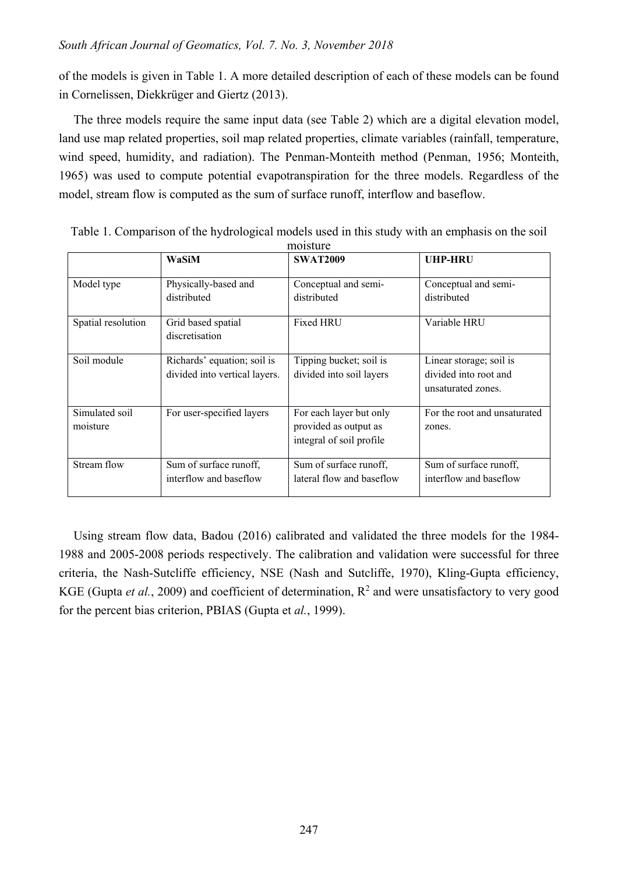of the models is given in Table 1. A more detailed description of each of these models can be found in Cornelissen, Diekkrüger and Giertz (2013).

The three models require the same input data (see Table 2) which are a digital elevation model, land use map related properties, soil map related properties, climate variables (rainfall, temperature, wind speed, humidity, and radiation). The Penman-Monteith method (Penman, 1956; Monteith, 1965) was used to compute potential evapotranspiration for the three models. Regardless of the model, stream flow is computed as the sum of surface runoff, interflow and baseflow.

|                            | WaSiM                                                        | <b>SWAT2009</b>                                                              | <b>UHP-HRU</b>                                                         |
|----------------------------|--------------------------------------------------------------|------------------------------------------------------------------------------|------------------------------------------------------------------------|
| Model type                 | Physically-based and<br>distributed                          | Conceptual and semi-<br>distributed                                          | Conceptual and semi-<br>distributed                                    |
| Spatial resolution         | Grid based spatial<br>discretisation                         | Fixed HRU                                                                    | Variable HRU                                                           |
| Soil module                | Richards' equation; soil is<br>divided into vertical layers. | Tipping bucket; soil is<br>divided into soil layers                          | Linear storage; soil is<br>divided into root and<br>unsaturated zones. |
| Simulated soil<br>moisture | For user-specified layers                                    | For each layer but only<br>provided as output as<br>integral of soil profile | For the root and unsaturated<br>zones.                                 |
| Stream flow                | Sum of surface runoff,<br>interflow and baseflow             | Sum of surface runoff,<br>lateral flow and baseflow                          | Sum of surface runoff,<br>interflow and baseflow                       |

Table 1. Comparison of the hydrological models used in this study with an emphasis on the soil moisture

Using stream flow data, Badou (2016) calibrated and validated the three models for the 1984- 1988 and 2005-2008 periods respectively. The calibration and validation were successful for three criteria, the Nash-Sutcliffe efficiency, NSE (Nash and Sutcliffe, 1970), Kling-Gupta efficiency, KGE (Gupta *et al.*, 2009) and coefficient of determination,  $R^2$  and were unsatisfactory to very good for the percent bias criterion, PBIAS (Gupta et *al.*, 1999).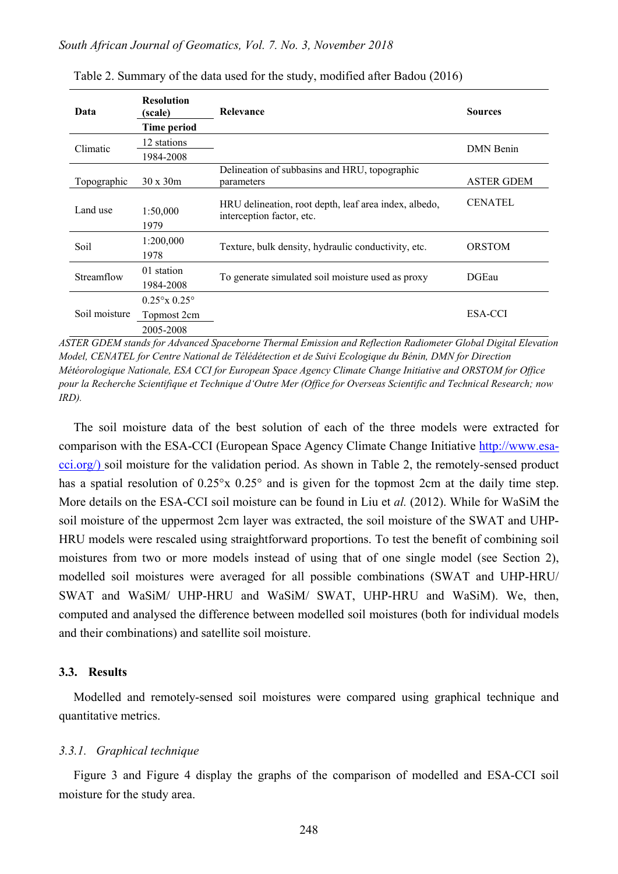| Data          | <b>Resolution</b><br>(scale)<br><b>Time period</b>          | <b>Relevance</b>                                                                   | <b>Sources</b>    |
|---------------|-------------------------------------------------------------|------------------------------------------------------------------------------------|-------------------|
| Climatic      | 12 stations                                                 |                                                                                    | <b>DMN</b> Benin  |
|               | 1984-2008                                                   |                                                                                    |                   |
| Topographic   | $30 \times 30m$                                             | Delineation of subbasins and HRU, topographic<br>parameters                        | <b>ASTER GDEM</b> |
| Land use      | 1:50,000<br>1979                                            | HRU delineation, root depth, leaf area index, albedo,<br>interception factor, etc. | <b>CENATEL</b>    |
| Soil          | 1:200,000<br>1978                                           | Texture, bulk density, hydraulic conductivity, etc.                                | <b>ORSTOM</b>     |
| Streamflow    | 01 station<br>1984-2008                                     | To generate simulated soil moisture used as proxy                                  | DGEau             |
| Soil moisture | $0.25^{\circ}$ x $0.25^{\circ}$<br>Topmost 2cm<br>2005-2008 |                                                                                    | ESA-CCI           |

Table 2. Summary of the data used for the study, modified after Badou (2016)

*ASTER GDEM stands for Advanced Spaceborne Thermal Emission and Reflection Radiometer Global Digital Elevation Model, CENATEL for Centre National de Télédétection et de Suivi Ecologique du Bénin, DMN for Direction Météorologique Nationale, ESA CCI for European Space Agency Climate Change Initiative and ORSTOM for Office pour la Recherche Scientifique et Technique d'Outre Mer (Office for Overseas Scientific and Technical Research; now IRD).*

The soil moisture data of the best solution of each of the three models were extracted for comparison with the ESA-CCI (European Space Agency Climate Change Initiative [http://www.esa](http://www.esa-cci.org/)[cci.org/\)](http://www.esa-cci.org/) soil moisture for the validation period. As shown in Table 2, the remotely-sensed product has a spatial resolution of  $0.25^{\circ}x$   $0.25^{\circ}$  and is given for the topmost 2cm at the daily time step. More details on the ESA-CCI soil moisture can be found in Liu et *al.* (2012). While for WaSiM the soil moisture of the uppermost 2cm layer was extracted, the soil moisture of the SWAT and UHP-HRU models were rescaled using straightforward proportions. To test the benefit of combining soil moistures from two or more models instead of using that of one single model (see Section 2), modelled soil moistures were averaged for all possible combinations (SWAT and UHP-HRU/ SWAT and WaSiM/ UHP-HRU and WaSiM/ SWAT, UHP-HRU and WaSiM). We, then, computed and analysed the difference between modelled soil moistures (both for individual models and their combinations) and satellite soil moisture.

#### **3.3. Results**

Modelled and remotely-sensed soil moistures were compared using graphical technique and quantitative metrics.

#### *3.3.1. Graphical technique*

Figure 3 and Figure 4 display the graphs of the comparison of modelled and ESA-CCI soil moisture for the study area.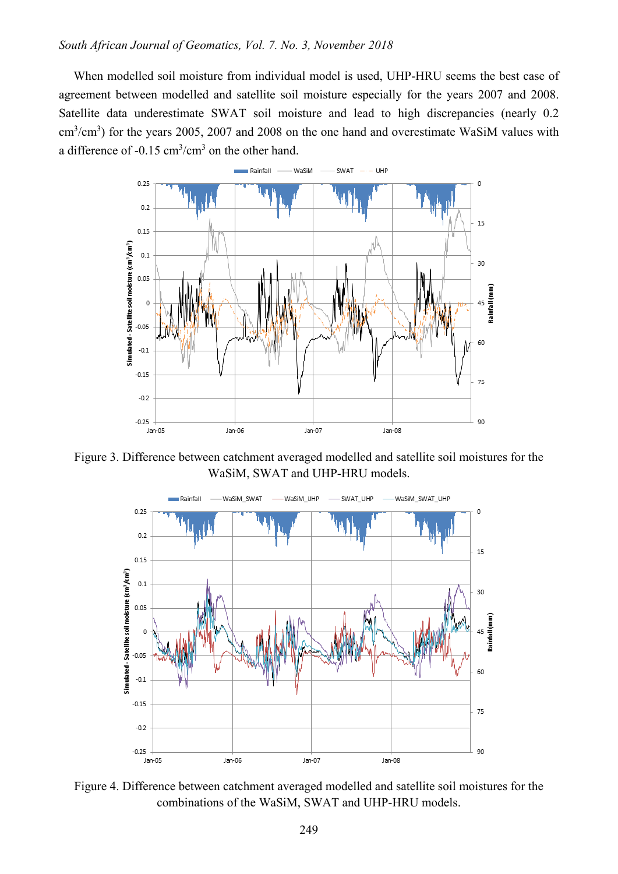When modelled soil moisture from individual model is used, UHP-HRU seems the best case of agreement between modelled and satellite soil moisture especially for the years 2007 and 2008. Satellite data underestimate SWAT soil moisture and lead to high discrepancies (nearly 0.2  $\text{cm}^3/\text{cm}^3$ ) for the years 2005, 2007 and 2008 on the one hand and overestimate WaSiM values with a difference of -0.15  $\text{cm}^3/\text{cm}^3$  on the other hand.



Figure 3. Difference between catchment averaged modelled and satellite soil moistures for the WaSiM, SWAT and UHP-HRU models.



Figure 4. Difference between catchment averaged modelled and satellite soil moistures for the combinations of the WaSiM, SWAT and UHP-HRU models.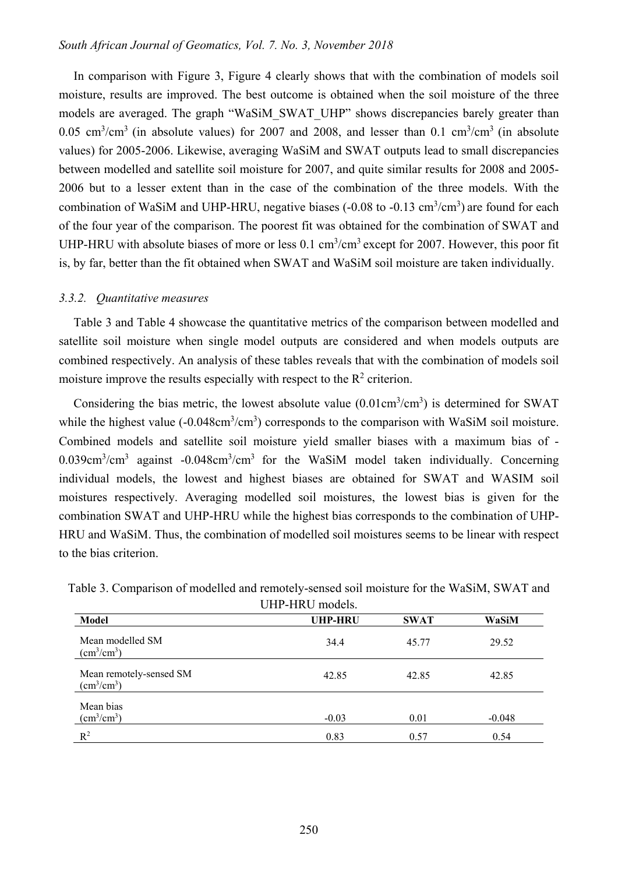In comparison with Figure 3, Figure 4 clearly shows that with the combination of models soil moisture, results are improved. The best outcome is obtained when the soil moisture of the three models are averaged. The graph "WaSiM\_SWAT\_UHP" shows discrepancies barely greater than 0.05 cm<sup>3</sup>/cm<sup>3</sup> (in absolute values) for 2007 and 2008, and lesser than 0.1 cm<sup>3</sup>/cm<sup>3</sup> (in absolute values) for 2005-2006. Likewise, averaging WaSiM and SWAT outputs lead to small discrepancies between modelled and satellite soil moisture for 2007, and quite similar results for 2008 and 2005- 2006 but to a lesser extent than in the case of the combination of the three models. With the combination of WaSiM and UHP-HRU, negative biases  $(-0.08 \text{ to } -0.13 \text{ cm}^3/\text{cm}^3)$  are found for each of the four year of the comparison. The poorest fit was obtained for the combination of SWAT and UHP-HRU with absolute biases of more or less 0.1 cm<sup>3</sup>/cm<sup>3</sup> except for 2007. However, this poor fit is, by far, better than the fit obtained when SWAT and WaSiM soil moisture are taken individually.

#### *3.3.2. Quantitative measures*

Table 3 and Table 4 showcase the quantitative metrics of the comparison between modelled and satellite soil moisture when single model outputs are considered and when models outputs are combined respectively. An analysis of these tables reveals that with the combination of models soil moisture improve the results especially with respect to the  $\mathbb{R}^2$  criterion.

Considering the bias metric, the lowest absolute value  $(0.01 \text{cm}^3/\text{cm}^3)$  is determined for SWAT while the highest value  $(-0.048 \text{cm}^3/\text{cm}^3)$  corresponds to the comparison with WaSiM soil moisture. Combined models and satellite soil moisture yield smaller biases with a maximum bias of - 0.039cm<sup>3</sup>/cm<sup>3</sup> against -0.048cm<sup>3</sup>/cm<sup>3</sup> for the WaSiM model taken individually. Concerning individual models, the lowest and highest biases are obtained for SWAT and WASIM soil moistures respectively. Averaging modelled soil moistures, the lowest bias is given for the combination SWAT and UHP-HRU while the highest bias corresponds to the combination of UHP-HRU and WaSiM. Thus, the combination of modelled soil moistures seems to be linear with respect to the bias criterion.

| Model                                                  | <b>UHP-HRU</b> | <b>SWAT</b> | WaSiM    |
|--------------------------------------------------------|----------------|-------------|----------|
| Mean modelled SM<br>$\text{cm}^3/\text{cm}^3$ )        | 34.4           | 45.77       | 29.52    |
| Mean remotely-sensed SM<br>$\text{(cm}^3/\text{cm}^3)$ | 42.85          | 42.85       | 42.85    |
| Mean bias<br>$\text{cm}^3/\text{cm}^3$ )               | $-0.03$        | 0.01        | $-0.048$ |
| $R^2$                                                  | 0.83           | 0.57        | 0.54     |

Table 3. Comparison of modelled and remotely-sensed soil moisture for the WaSiM, SWAT and

UHD-HRU models.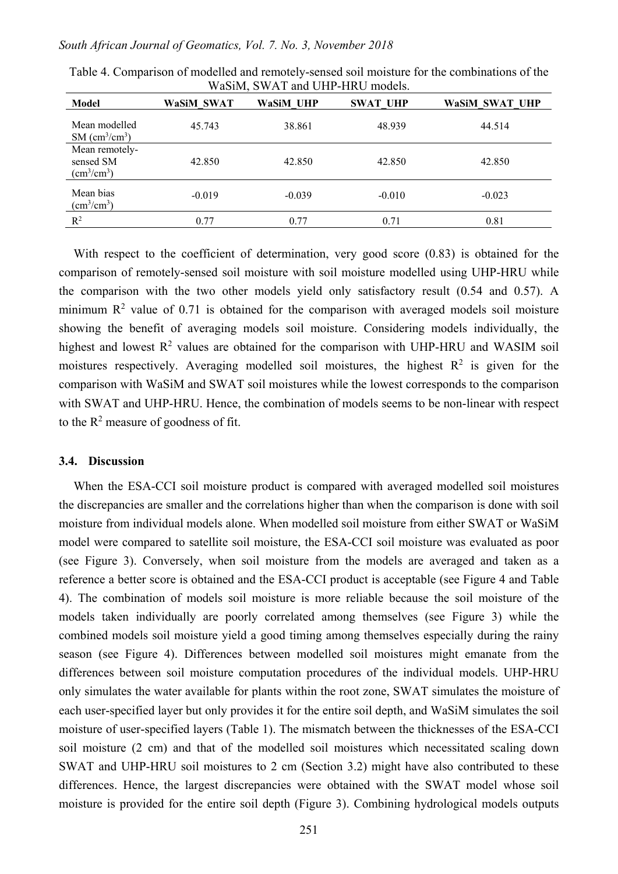|                                                            |            | $\ldots$ would be $\ldots$ . When $\ldots$ in $\ldots$ |                 |                       |
|------------------------------------------------------------|------------|--------------------------------------------------------|-----------------|-----------------------|
| Model                                                      | WaSiM SWAT | <b>WaSiM UHP</b>                                       | <b>SWAT UHP</b> | <b>WaSiM SWAT UHP</b> |
| Mean modelled<br>$SM$ (cm <sup>3</sup> /cm <sup>3</sup> )  | 45.743     | 38.861                                                 | 48.939          | 44.514                |
| Mean remotely-<br>sensed SM<br>$\text{(cm}^3/\text{cm}^3)$ | 42.850     | 42.850                                                 | 42.850          | 42.850                |
| Mean bias<br>(cm <sup>3</sup> /cm <sup>3</sup> )           | $-0.019$   | $-0.039$                                               | $-0.010$        | $-0.023$              |
| $R^2$                                                      | 0.77       | 0.77                                                   | 0.71            | 0.81                  |
|                                                            |            |                                                        |                 |                       |

Table 4. Comparison of modelled and remotely-sensed soil moisture for the combinations of the WaSiM, SWAT and UHP-HRU models.

With respect to the coefficient of determination, very good score (0.83) is obtained for the comparison of remotely-sensed soil moisture with soil moisture modelled using UHP-HRU while the comparison with the two other models yield only satisfactory result (0.54 and 0.57). A minimum  $\mathbb{R}^2$  value of 0.71 is obtained for the comparison with averaged models soil moisture showing the benefit of averaging models soil moisture. Considering models individually, the highest and lowest  $R^2$  values are obtained for the comparison with UHP-HRU and WASIM soil moistures respectively. Averaging modelled soil moistures, the highest  $\mathbb{R}^2$  is given for the comparison with WaSiM and SWAT soil moistures while the lowest corresponds to the comparison with SWAT and UHP-HRU. Hence, the combination of models seems to be non-linear with respect to the  $R^2$  measure of goodness of fit.

# **3.4. Discussion**

When the ESA-CCI soil moisture product is compared with averaged modelled soil moistures the discrepancies are smaller and the correlations higher than when the comparison is done with soil moisture from individual models alone. When modelled soil moisture from either SWAT or WaSiM model were compared to satellite soil moisture, the ESA-CCI soil moisture was evaluated as poor (see Figure 3). Conversely, when soil moisture from the models are averaged and taken as a reference a better score is obtained and the ESA-CCI product is acceptable (see Figure 4 and Table 4). The combination of models soil moisture is more reliable because the soil moisture of the models taken individually are poorly correlated among themselves (see Figure 3) while the combined models soil moisture yield a good timing among themselves especially during the rainy season (see Figure 4). Differences between modelled soil moistures might emanate from the differences between soil moisture computation procedures of the individual models. UHP-HRU only simulates the water available for plants within the root zone, SWAT simulates the moisture of each user-specified layer but only provides it for the entire soil depth, and WaSiM simulates the soil moisture of user-specified layers (Table 1). The mismatch between the thicknesses of the ESA-CCI soil moisture (2 cm) and that of the modelled soil moistures which necessitated scaling down SWAT and UHP-HRU soil moistures to 2 cm (Section 3.2) might have also contributed to these differences. Hence, the largest discrepancies were obtained with the SWAT model whose soil moisture is provided for the entire soil depth (Figure 3). Combining hydrological models outputs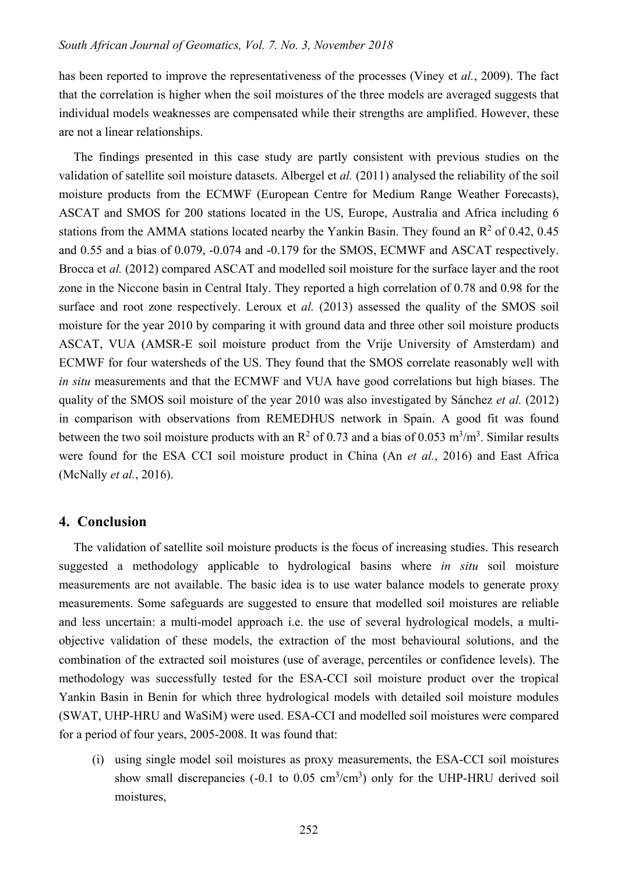has been reported to improve the representativeness of the processes (Viney et *al.*, 2009). The fact that the correlation is higher when the soil moistures of the three models are averaged suggests that individual models weaknesses are compensated while their strengths are amplified. However, these are not a linear relationships.

The findings presented in this case study are partly consistent with previous studies on the validation of satellite soil moisture datasets. Albergel et *al.* (2011) analysed the reliability of the soil moisture products from the ECMWF (European Centre for Medium Range Weather Forecasts), ASCAT and SMOS for 200 stations located in the US, Europe, Australia and Africa including 6 stations from the AMMA stations located nearby the Yankin Basin. They found an  $\mathbb{R}^2$  of 0.42, 0.45 and 0.55 and a bias of 0.079, -0.074 and -0.179 for the SMOS, ECMWF and ASCAT respectively. Brocca et *al.* (2012) compared ASCAT and modelled soil moisture for the surface layer and the root zone in the Niccone basin in Central Italy. They reported a high correlation of 0.78 and 0.98 for the surface and root zone respectively. Leroux et *al.* (2013) assessed the quality of the SMOS soil moisture for the year 2010 by comparing it with ground data and three other soil moisture products ASCAT, VUA (AMSR-E soil moisture product from the Vrije University of Amsterdam) and ECMWF for four watersheds of the US. They found that the SMOS correlate reasonably well with *in situ* measurements and that the ECMWF and VUA have good correlations but high biases. The quality of the SMOS soil moisture of the year 2010 was also investigated by Sánchez *et al.* (2012) in comparison with observations from REMEDHUS network in Spain. A good fit was found between the two soil moisture products with an  $\mathbb{R}^2$  of 0.73 and a bias of 0.053 m<sup>3</sup>/m<sup>3</sup>. Similar results were found for the ESA CCI soil moisture product in China (An *et al.*, 2016) and East Africa (McNally *et al.*, 2016).

### **4. Conclusion**

The validation of satellite soil moisture products is the focus of increasing studies. This research suggested a methodology applicable to hydrological basins where *in situ* soil moisture measurements are not available. The basic idea is to use water balance models to generate proxy measurements. Some safeguards are suggested to ensure that modelled soil moistures are reliable and less uncertain: a multi-model approach i.e. the use of several hydrological models, a multiobjective validation of these models, the extraction of the most behavioural solutions, and the combination of the extracted soil moistures (use of average, percentiles or confidence levels). The methodology was successfully tested for the ESA-CCI soil moisture product over the tropical Yankin Basin in Benin for which three hydrological models with detailed soil moisture modules (SWAT, UHP-HRU and WaSiM) were used. ESA-CCI and modelled soil moistures were compared for a period of four years, 2005-2008. It was found that:

(i) using single model soil moistures as proxy measurements, the ESA-CCI soil moistures show small discrepancies (-0.1 to 0.05  $\text{cm}^3/\text{cm}^3$ ) only for the UHP-HRU derived soil moistures,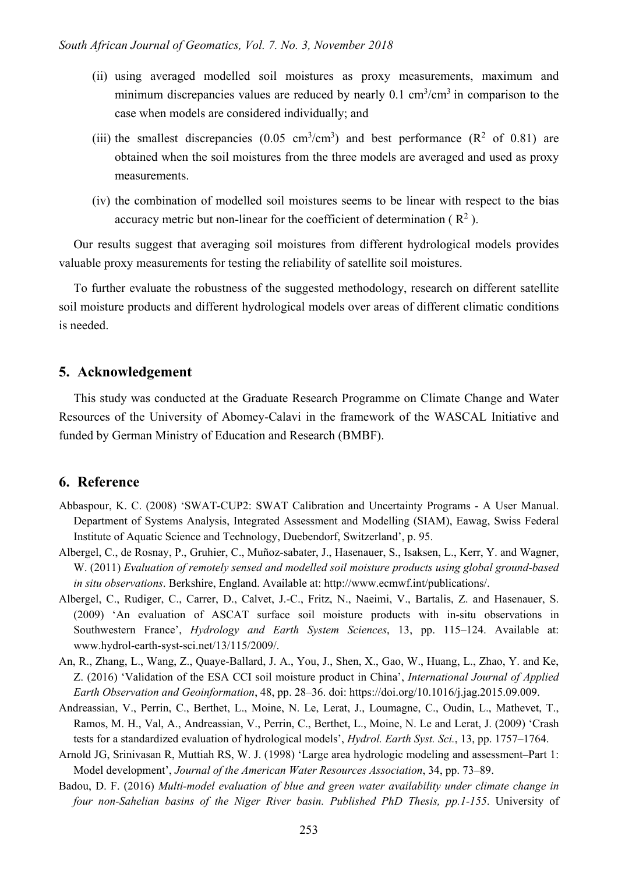- (ii) using averaged modelled soil moistures as proxy measurements, maximum and minimum discrepancies values are reduced by nearly  $0.1 \text{ cm}^3/\text{cm}^3$  in comparison to the case when models are considered individually; and
- (iii) the smallest discrepancies (0.05 cm<sup>3</sup>/cm<sup>3</sup>) and best performance ( $\mathbb{R}^2$  of 0.81) are obtained when the soil moistures from the three models are averaged and used as proxy measurements.
- (iv) the combination of modelled soil moistures seems to be linear with respect to the bias accuracy metric but non-linear for the coefficient of determination ( $\mathbb{R}^2$ ).

Our results suggest that averaging soil moistures from different hydrological models provides valuable proxy measurements for testing the reliability of satellite soil moistures.

To further evaluate the robustness of the suggested methodology, research on different satellite soil moisture products and different hydrological models over areas of different climatic conditions is needed.

# **5. Acknowledgement**

This study was conducted at the Graduate Research Programme on Climate Change and Water Resources of the University of Abomey-Calavi in the framework of the WASCAL Initiative and funded by German Ministry of Education and Research (BMBF).

# **6. Reference**

- Abbaspour, K. C. (2008) 'SWAT-CUP2: SWAT Calibration and Uncertainty Programs A User Manual. Department of Systems Analysis, Integrated Assessment and Modelling (SIAM), Eawag, Swiss Federal Institute of Aquatic Science and Technology, Duebendorf, Switzerland', p. 95.
- Albergel, C., de Rosnay, P., Gruhier, C., Muñoz-sabater, J., Hasenauer, S., Isaksen, L., Kerr, Y. and Wagner, W. (2011) *Evaluation of remotely sensed and modelled soil moisture products using global ground-based in situ observations*. Berkshire, England. Available at: http://www.ecmwf.int/publications/.
- Albergel, C., Rudiger, C., Carrer, D., Calvet, J.-C., Fritz, N., Naeimi, V., Bartalis, Z. and Hasenauer, S. (2009) 'An evaluation of ASCAT surface soil moisture products with in-situ observations in Southwestern France', *Hydrology and Earth System Sciences*, 13, pp. 115–124. Available at: www.hydrol-earth-syst-sci.net/13/115/2009/.
- An, R., Zhang, L., Wang, Z., Quaye-Ballard, J. A., You, J., Shen, X., Gao, W., Huang, L., Zhao, Y. and Ke, Z. (2016) 'Validation of the ESA CCI soil moisture product in China', *International Journal of Applied Earth Observation and Geoinformation*, 48, pp. 28–36. doi: https://doi.org/10.1016/j.jag.2015.09.009.
- Andreassian, V., Perrin, C., Berthet, L., Moine, N. Le, Lerat, J., Loumagne, C., Oudin, L., Mathevet, T., Ramos, M. H., Val, A., Andreassian, V., Perrin, C., Berthet, L., Moine, N. Le and Lerat, J. (2009) 'Crash tests for a standardized evaluation of hydrological models', *Hydrol. Earth Syst. Sci.*, 13, pp. 1757–1764.
- Arnold JG, Srinivasan R, Muttiah RS, W. J. (1998) 'Large area hydrologic modeling and assessment–Part 1: Model development', *Journal of the American Water Resources Association*, 34, pp. 73–89.
- Badou, D. F. (2016) *Multi-model evaluation of blue and green water availability under climate change in four non-Sahelian basins of the Niger River basin. Published PhD Thesis, pp.1-155*. University of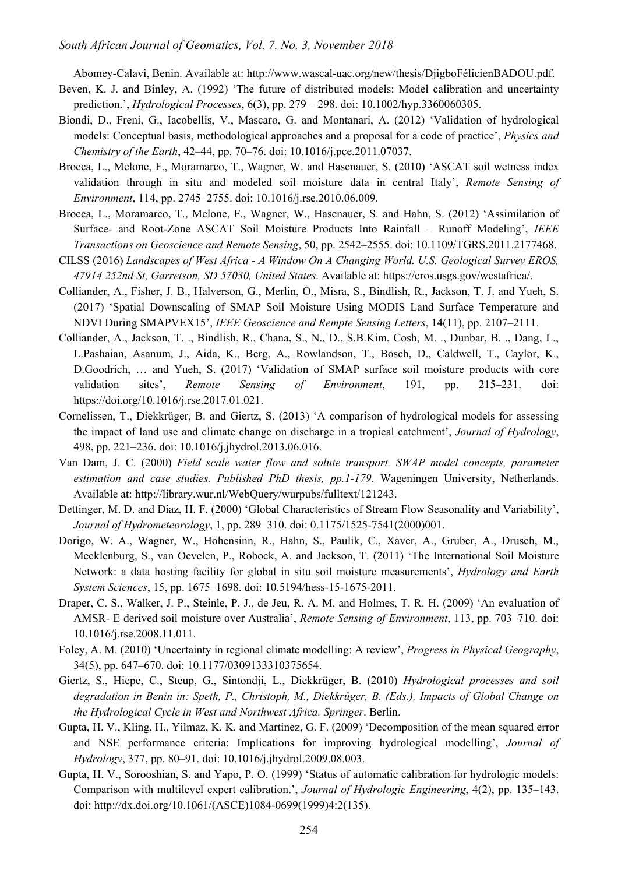Abomey-Calavi, Benin. Available at: http://www.wascal-uac.org/new/thesis/DjigboFélicienBADOU.pdf.

- Beven, K. J. and Binley, A. (1992) 'The future of distributed models: Model calibration and uncertainty prediction.', *Hydrological Processes*, 6(3), pp. 279 – 298. doi: 10.1002/hyp.3360060305.
- Biondi, D., Freni, G., Iacobellis, V., Mascaro, G. and Montanari, A. (2012) 'Validation of hydrological models: Conceptual basis, methodological approaches and a proposal for a code of practice', *Physics and Chemistry of the Earth*, 42–44, pp. 70–76. doi: 10.1016/j.pce.2011.07037.
- Brocca, L., Melone, F., Moramarco, T., Wagner, W. and Hasenauer, S. (2010) 'ASCAT soil wetness index validation through in situ and modeled soil moisture data in central Italy', *Remote Sensing of Environment*, 114, pp. 2745–2755. doi: 10.1016/j.rse.2010.06.009.
- Brocca, L., Moramarco, T., Melone, F., Wagner, W., Hasenauer, S. and Hahn, S. (2012) 'Assimilation of Surface- and Root-Zone ASCAT Soil Moisture Products Into Rainfall – Runoff Modeling', *IEEE Transactions on Geoscience and Remote Sensing*, 50, pp. 2542–2555. doi: 10.1109/TGRS.2011.2177468.
- CILSS (2016) *Landscapes of West Africa - A Window On A Changing World. U.S. Geological Survey EROS, 47914 252nd St, Garretson, SD 57030, United States*. Available at: https://eros.usgs.gov/westafrica/.
- Colliander, A., Fisher, J. B., Halverson, G., Merlin, O., Misra, S., Bindlish, R., Jackson, T. J. and Yueh, S. (2017) 'Spatial Downscaling of SMAP Soil Moisture Using MODIS Land Surface Temperature and NDVI During SMAPVEX15', *IEEE Geoscience and Rempte Sensing Letters*, 14(11), pp. 2107–2111.
- Colliander, A., Jackson, T. ., Bindlish, R., Chana, S., N., D., S.B.Kim, Cosh, M. ., Dunbar, B. ., Dang, L., L.Pashaian, Asanum, J., Aida, K., Berg, A., Rowlandson, T., Bosch, D., Caldwell, T., Caylor, K., D.Goodrich, … and Yueh, S. (2017) 'Validation of SMAP surface soil moisture products with core validation sites', *Remote Sensing of Environment*, 191, pp. 215–231. doi: https://doi.org/10.1016/j.rse.2017.01.021.
- Cornelissen, T., Diekkrüger, B. and Giertz, S. (2013) 'A comparison of hydrological models for assessing the impact of land use and climate change on discharge in a tropical catchment', *Journal of Hydrology*, 498, pp. 221–236. doi: 10.1016/j.jhydrol.2013.06.016.
- Van Dam, J. C. (2000) *Field scale water flow and solute transport. SWAP model concepts, parameter estimation and case studies. Published PhD thesis, pp.1-179*. Wageningen University, Netherlands. Available at: http://library.wur.nl/WebQuery/wurpubs/fulltext/121243.
- Dettinger, M. D. and Diaz, H. F. (2000) 'Global Characteristics of Stream Flow Seasonality and Variability', *Journal of Hydrometeorology*, 1, pp. 289–310. doi: 0.1175/1525-7541(2000)001.
- Dorigo, W. A., Wagner, W., Hohensinn, R., Hahn, S., Paulik, C., Xaver, A., Gruber, A., Drusch, M., Mecklenburg, S., van Oevelen, P., Robock, A. and Jackson, T. (2011) 'The International Soil Moisture Network: a data hosting facility for global in situ soil moisture measurements', *Hydrology and Earth System Sciences*, 15, pp. 1675–1698. doi: 10.5194/hess-15-1675-2011.
- Draper, C. S., Walker, J. P., Steinle, P. J., de Jeu, R. A. M. and Holmes, T. R. H. (2009) 'An evaluation of AMSR- E derived soil moisture over Australia', *Remote Sensing of Environment*, 113, pp. 703–710. doi: 10.1016/j.rse.2008.11.011.
- Foley, A. M. (2010) 'Uncertainty in regional climate modelling: A review', *Progress in Physical Geography*, 34(5), pp. 647–670. doi: 10.1177/0309133310375654.
- Giertz, S., Hiepe, C., Steup, G., Sintondji, L., Diekkrüger, B. (2010) *Hydrological processes and soil degradation in Benin in: Speth, P., Christoph, M., Diekkrüger, B. (Eds.), Impacts of Global Change on the Hydrological Cycle in West and Northwest Africa. Springer*. Berlin.
- Gupta, H. V., Kling, H., Yilmaz, K. K. and Martinez, G. F. (2009) 'Decomposition of the mean squared error and NSE performance criteria: Implications for improving hydrological modelling', *Journal of Hydrology*, 377, pp. 80–91. doi: 10.1016/j.jhydrol.2009.08.003.
- Gupta, H. V., Sorooshian, S. and Yapo, P. O. (1999) 'Status of automatic calibration for hydrologic models: Comparison with multilevel expert calibration.', *Journal of Hydrologic Engineering*, 4(2), pp. 135–143. doi: http://dx.doi.org/10.1061/(ASCE)1084-0699(1999)4:2(135).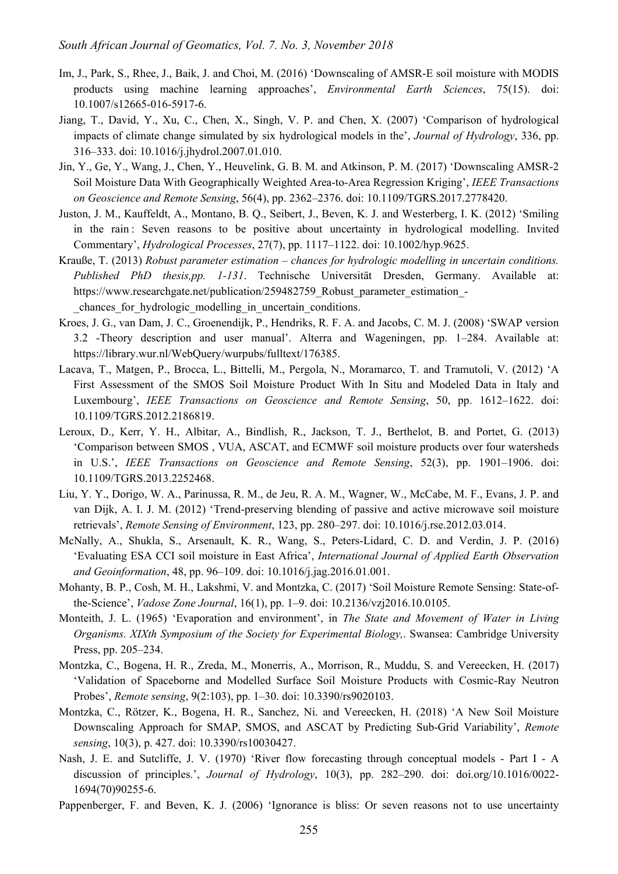- Im, J., Park, S., Rhee, J., Baik, J. and Choi, M. (2016) 'Downscaling of AMSR-E soil moisture with MODIS products using machine learning approaches', *Environmental Earth Sciences*, 75(15). doi: 10.1007/s12665-016-5917-6.
- Jiang, T., David, Y., Xu, C., Chen, X., Singh, V. P. and Chen, X. (2007) 'Comparison of hydrological impacts of climate change simulated by six hydrological models in the', *Journal of Hydrology*, 336, pp. 316–333. doi: 10.1016/j.jhydrol.2007.01.010.
- Jin, Y., Ge, Y., Wang, J., Chen, Y., Heuvelink, G. B. M. and Atkinson, P. M. (2017) 'Downscaling AMSR-2 Soil Moisture Data With Geographically Weighted Area-to-Area Regression Kriging', *IEEE Transactions on Geoscience and Remote Sensing*, 56(4), pp. 2362–2376. doi: 10.1109/TGRS.2017.2778420.
- Juston, J. M., Kauffeldt, A., Montano, B. Q., Seibert, J., Beven, K. J. and Westerberg, I. K. (2012) 'Smiling in the rain : Seven reasons to be positive about uncertainty in hydrological modelling. Invited Commentary', *Hydrological Processes*, 27(7), pp. 1117–1122. doi: 10.1002/hyp.9625.
- Krauße, T. (2013) *Robust parameter estimation – chances for hydrologic modelling in uncertain conditions. Published PhD thesis,pp. 1-131*. Technische Universität Dresden, Germany. Available at: https://www.researchgate.net/publication/259482759\_Robust\_parameter\_estimation\_chances for hydrologic modelling in uncertain conditions.
- Kroes, J. G., van Dam, J. C., Groenendijk, P., Hendriks, R. F. A. and Jacobs, C. M. J. (2008) 'SWAP version 3.2 -Theory description and user manual'. Alterra and Wageningen, pp. 1–284. Available at: https://library.wur.nl/WebQuery/wurpubs/fulltext/176385.
- Lacava, T., Matgen, P., Brocca, L., Bittelli, M., Pergola, N., Moramarco, T. and Tramutoli, V. (2012) 'A First Assessment of the SMOS Soil Moisture Product With In Situ and Modeled Data in Italy and Luxembourg', *IEEE Transactions on Geoscience and Remote Sensing*, 50, pp. 1612–1622. doi: 10.1109/TGRS.2012.2186819.
- Leroux, D., Kerr, Y. H., Albitar, A., Bindlish, R., Jackson, T. J., Berthelot, B. and Portet, G. (2013) 'Comparison between SMOS , VUA, ASCAT, and ECMWF soil moisture products over four watersheds in U.S.', *IEEE Transactions on Geoscience and Remote Sensing*, 52(3), pp. 1901–1906. doi: 10.1109/TGRS.2013.2252468.
- Liu, Y. Y., Dorigo, W. A., Parinussa, R. M., de Jeu, R. A. M., Wagner, W., McCabe, M. F., Evans, J. P. and van Dijk, A. I. J. M. (2012) 'Trend-preserving blending of passive and active microwave soil moisture retrievals', *Remote Sensing of Environment*, 123, pp. 280–297. doi: 10.1016/j.rse.2012.03.014.
- McNally, A., Shukla, S., Arsenault, K. R., Wang, S., Peters-Lidard, C. D. and Verdin, J. P. (2016) 'Evaluating ESA CCI soil moisture in East Africa', *International Journal of Applied Earth Observation and Geoinformation*, 48, pp. 96–109. doi: 10.1016/j.jag.2016.01.001.
- Mohanty, B. P., Cosh, M. H., Lakshmi, V. and Montzka, C. (2017) 'Soil Moisture Remote Sensing: State-ofthe-Science', *Vadose Zone Journal*, 16(1), pp. 1–9. doi: 10.2136/vzj2016.10.0105.
- Monteith, J. L. (1965) 'Evaporation and environment', in *The State and Movement of Water in Living Organisms. XIXth Symposium of the Society for Experimental Biology,*. Swansea: Cambridge University Press, pp. 205–234.
- Montzka, C., Bogena, H. R., Zreda, M., Monerris, A., Morrison, R., Muddu, S. and Vereecken, H. (2017) 'Validation of Spaceborne and Modelled Surface Soil Moisture Products with Cosmic-Ray Neutron Probes', *Remote sensing*, 9(2:103), pp. 1–30. doi: 10.3390/rs9020103.
- Montzka, C., Rötzer, K., Bogena, H. R., Sanchez, Ni. and Vereecken, H. (2018) 'A New Soil Moisture Downscaling Approach for SMAP, SMOS, and ASCAT by Predicting Sub-Grid Variability', *Remote sensing*, 10(3), p. 427. doi: 10.3390/rs10030427.
- Nash, J. E. and Sutcliffe, J. V. (1970) 'River flow forecasting through conceptual models Part I A discussion of principles.', *Journal of Hydrology*, 10(3), pp. 282–290. doi: doi.org/10.1016/0022- 1694(70)90255-6.
- Pappenberger, F. and Beven, K. J. (2006) 'Ignorance is bliss: Or seven reasons not to use uncertainty